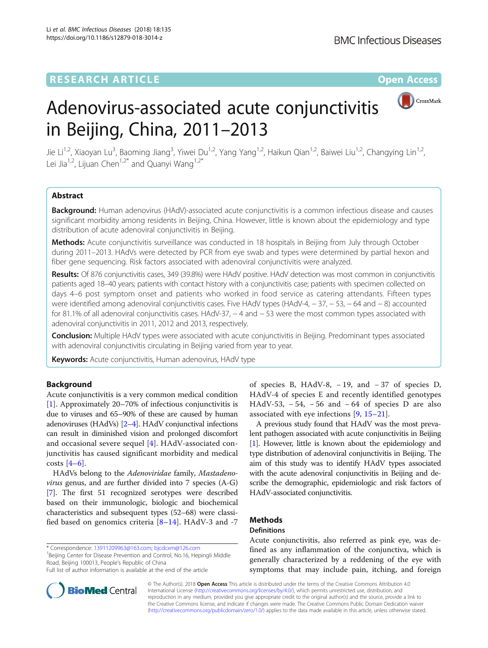

# Adenovirus-associated acute conjunctivitis in Beijing, China, 2011–2013

Jie Li<sup>1,2</sup>, Xiaoyan Lu<sup>3</sup>, Baoming Jiang<sup>3</sup>, Yiwei Du<sup>1,2</sup>, Yang Yang<sup>1,2</sup>, Haikun Qian<sup>1,2</sup>, Baiwei Liu<sup>1,2</sup>, Changying Lin<sup>1,2</sup>, Lei Jia<sup>1,2</sup>, Lijuan Chen<sup>1,2\*</sup> and Quanyi Wang<sup>1,2\*</sup>

# Abstract

Background: Human adenovirus (HAdV)-associated acute conjunctivitis is a common infectious disease and causes significant morbidity among residents in Beijing, China. However, little is known about the epidemiology and type distribution of acute adenoviral conjunctivitis in Beijing.

Methods: Acute conjunctivitis surveillance was conducted in 18 hospitals in Beijing from July through October during 2011–2013. HAdVs were detected by PCR from eye swab and types were determined by partial hexon and fiber gene sequencing. Risk factors associated with adenoviral conjunctivitis were analyzed.

Results: Of 876 conjunctivitis cases, 349 (39.8%) were HAdV positive. HAdV detection was most common in conjunctivitis patients aged 18–40 years; patients with contact history with a conjunctivitis case; patients with specimen collected on days 4–6 post symptom onset and patients who worked in food service as catering attendants. Fifteen types were identified among adenoviral conjunctivitis cases. Five HAdV types (HAdV-4, -37, -53, -64 and -8) accounted for 81.1% of all adenoviral conjunctivitis cases. HAdV-37, − 4 and − 53 were the most common types associated with adenoviral conjunctivitis in 2011, 2012 and 2013, respectively.

**Conclusion:** Multiple HAdV types were associated with acute conjunctivitis in Beijing. Predominant types associated with adenoviral conjunctivitis circulating in Beijing varied from year to year.

Keywords: Acute conjunctivitis, Human adenovirus, HAdV type

# Background

Acute conjunctivitis is a very common medical condition [[1\]](#page-6-0). Approximately 20–70% of infectious conjunctivitis is due to viruses and 65–90% of these are caused by human adenoviruses (HAdVs) [[2](#page-6-0)–[4\]](#page-6-0). HAdV conjunctival infections can result in diminished vision and prolonged discomfort and occasional severe sequel [[4\]](#page-6-0). HAdV-associated conjunctivitis has caused significant morbidity and medical costs  $[4-6]$  $[4-6]$  $[4-6]$  $[4-6]$ .

HAdVs belong to the Adenoviridae family, Mastadenovirus genus, and are further divided into 7 species (A-G) [[7\]](#page-6-0). The first 51 recognized serotypes were described based on their immunologic, biologic and biochemical characteristics and subsequent types (52–68) were classified based on genomics criteria  $[8-14]$  $[8-14]$  $[8-14]$  $[8-14]$ . HAdV-3 and -7

\* Correspondence: [13911209963@163.com;](mailto:13911209963@163.com) [bjcdcxm@126.com](mailto:bjcdcxm@126.com) <sup>1</sup>

<sup>1</sup>Beijing Center for Disease Prevention and Control, No.16, Hepingli Middle Road, Beijing 100013, People's Republic of China Full list of author information is available at the end of the article

A previous study found that HAdV was the most prevalent pathogen associated with acute conjunctivitis in Beijing [[1](#page-6-0)]. However, little is known about the epidemiology and type distribution of adenoviral conjunctivitis in Beijing. The aim of this study was to identify HAdV types associated with the acute adenoviral conjunctivitis in Beijing and describe the demographic, epidemiologic and risk factors of HAdV-associated conjunctivitis.

# **Methods**

## **Definitions**

Acute conjunctivitis, also referred as pink eye, was defined as any inflammation of the conjunctiva, which is generally characterized by a reddening of the eye with symptoms that may include pain, itching, and foreign



© The Author(s). 2018 Open Access This article is distributed under the terms of the Creative Commons Attribution 4.0 International License [\(http://creativecommons.org/licenses/by/4.0/](http://creativecommons.org/licenses/by/4.0/)), which permits unrestricted use, distribution, and reproduction in any medium, provided you give appropriate credit to the original author(s) and the source, provide a link to the Creative Commons license, and indicate if changes were made. The Creative Commons Public Domain Dedication waiver [\(http://creativecommons.org/publicdomain/zero/1.0/](http://creativecommons.org/publicdomain/zero/1.0/)) applies to the data made available in this article, unless otherwise stated.

of species B, HAdV-8, − 19, and − 37 of species D, HAdV-4 of species E and recently identified genotypes HAdV-53,  $-54$ ,  $-56$  and  $-64$  of species D are also associated with eye infections [\[9](#page-6-0), [15](#page-6-0)–[21\]](#page-6-0).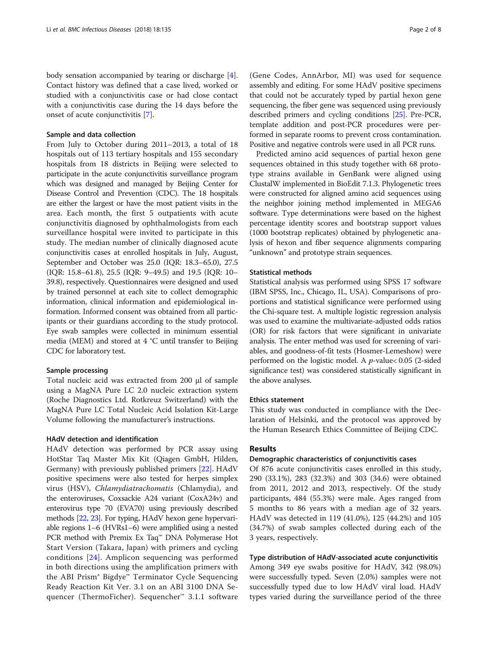body sensation accompanied by tearing or discharge [\[4](#page-6-0)]. Contact history was defined that a case lived, worked or studied with a conjunctivitis case or had close contact with a conjunctivitis case during the 14 days before the onset of acute conjunctivitis [\[7](#page-6-0)].

## Sample and data collection

From July to October during 2011–2013, a total of 18 hospitals out of 113 tertiary hospitals and 155 secondary hospitals from 18 districts in Beijing were selected to participate in the acute conjunctivitis surveillance program which was designed and managed by Beijing Center for Disease Control and Prevention (CDC). The 18 hospitals are either the largest or have the most patient visits in the area. Each month, the first 5 outpatients with acute conjunctivitis diagnosed by ophthalmologists from each surveillance hospital were invited to participate in this study. The median number of clinically diagnosed acute conjunctivitis cases at enrolled hospitals in July, August, September and October was 25.0 (IQR: 18.3–65.0), 27.5 (IQR: 15.8–61.8), 25.5 (IQR: 9–49.5) and 19.5 (IQR: 10– 39.8), respectively. Questionnaires were designed and used by trained personnel at each site to collect demographic information, clinical information and epidemiological information. Informed consent was obtained from all participants or their guardians according to the study protocol. Eye swab samples were collected in minimum essential media (MEM) and stored at 4 °C until transfer to Beijing CDC for laboratory test.

## Sample processing

Total nucleic acid was extracted from 200 μl of sample using a MagNA Pure LC 2.0 nucleic extraction system (Roche Diagnostics Ltd. Rotkreuz Switzerland) with the MagNA Pure LC Total Nucleic Acid Isolation Kit-Large Volume following the manufacturer's instructions.

## HAdV detection and identification

HAdV detection was performed by PCR assay using HotStar Taq Master Mix Kit (Qiagen GmbH, Hilden, Germany) with previously published primers [[22\]](#page-6-0). HAdV positive specimens were also tested for herpes simplex virus (HSV), Chlamydiatrachomatis (Chlamydia), and the enteroviruses, Coxsackie A24 variant (CoxA24v) and enterovirus type 70 (EVA70) using previously described methods [\[22,](#page-6-0) [23](#page-6-0)]. For typing, HAdV hexon gene hypervariable regions 1–6 (HVRs1–6) were amplified using a nested PCR method with Premix Ex Taq™ DNA Polymerase Hot Start Version (Takara, Japan) with primers and cycling conditions [[24\]](#page-6-0). Amplicon sequencing was performed in both directions using the amplification primers with the ABI Prism® Bigdye™ Terminator Cycle Sequencing Ready Reaction Kit Ver. 3.1 on an ABI 3100 DNA Sequencer (ThermoFicher). Sequencher™ 3.1.1 software (Gene Codes, AnnArbor, MI) was used for sequence assembly and editing. For some HAdV positive specimens that could not be accurately typed by partial hexon gene sequencing, the fiber gene was sequenced using previously described primers and cycling conditions [\[25\]](#page-6-0). Pre-PCR, template addition and post-PCR procedures were performed in separate rooms to prevent cross contamination. Positive and negative controls were used in all PCR runs.

Predicted amino acid sequences of partial hexon gene sequences obtained in this study together with 68 prototype strains available in GenBank were aligned using ClustalW implemented in BioEdit 7.1.3. Phylogenetic trees were constructed for aligned amino acid sequences using the neighbor joining method implemented in MEGA6 software. Type determinations were based on the highest percentage identity scores and bootstrap support values (1000 bootstrap replicates) obtained by phylogenetic analysis of hexon and fiber sequence alignments comparing "unknown" and prototype strain sequences.

### Statistical methods

Statistical analysis was performed using SPSS 17 software (IBM SPSS, Inc., Chicago, IL, USA). Comparisons of proportions and statistical significance were performed using the Chi-square test. A multiple logistic regression analysis was used to examine the multivariate-adjusted odds ratios (OR) for risk factors that were significant in univariate analysis. The enter method was used for screening of variables, and goodness-of-fit tests (Hosmer-Lemeshow) were performed on the logistic model. A p-value< 0.05 (2-sided significance test) was considered statistically significant in the above analyses.

#### Ethics statement

This study was conducted in compliance with the Declaration of Helsinki, and the protocol was approved by the Human Research Ethics Committee of Beijing CDC.

## Results

## Demographic characteristics of conjunctivitis cases

Of 876 acute conjunctivitis cases enrolled in this study, 290 (33.1%), 283 (32.3%) and 303 (34.6) were obtained from 2011, 2012 and 2013, respectively. Of the study participants, 484 (55.3%) were male. Ages ranged from 5 months to 86 years with a median age of 32 years. HAdV was detected in 119 (41.0%), 125 (44.2%) and 105 (34.7%) of swab samples collected during each of the 3 years, respectively.

# Type distribution of HAdV-associated acute conjunctivitis

Among 349 eye swabs positive for HAdV, 342 (98.0%) were successfully typed. Seven (2.0%) samples were not successfully typed due to low HAdV viral load. HAdV types varied during the surveillance period of the three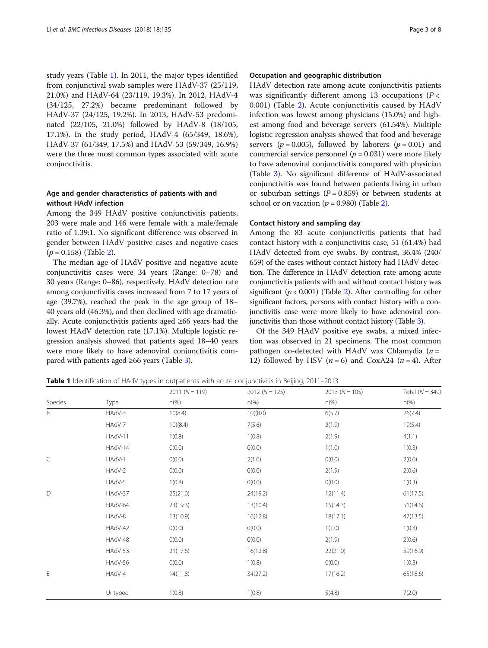study years (Table 1). In 2011, the major types identified from conjunctival swab samples were HAdV-37 (25/119, 21.0%) and HAdV-64 (23/119, 19.3%). In 2012, HAdV-4 (34/125, 27.2%) became predominant followed by HAdV-37 (24/125, 19.2%). In 2013, HAdV-53 predominated (22/105, 21.0%) followed by HAdV-8 (18/105, 17.1%). In the study period, HAdV-4 (65/349, 18.6%), HAdV-37 (61/349, 17.5%) and HAdV-53 (59/349, 16.9%) were the three most common types associated with acute conjunctivitis.

## Age and gender characteristics of patients with and without HAdV infection

Among the 349 HAdV positive conjunctivitis patients, 203 were male and 146 were female with a male/female ratio of 1.39:1. No significant difference was observed in gender between HAdV positive cases and negative cases  $(p = 0.158)$  (Table [2\)](#page-3-0).

The median age of HAdV positive and negative acute conjunctivitis cases were 34 years (Range: 0–78) and 30 years (Range: 0–86), respectively. HAdV detection rate among conjunctivitis cases increased from 7 to 17 years of age (39.7%), reached the peak in the age group of 18– 40 years old (46.3%), and then declined with age dramatically. Acute conjunctivitis patients aged ≥66 years had the lowest HAdV detection rate (17.1%). Multiple logistic regression analysis showed that patients aged 18–40 years were more likely to have adenoviral conjunctivitis compared with patients aged ≥66 years (Table [3\)](#page-3-0).

## Occupation and geographic distribution

HAdV detection rate among acute conjunctivitis patients was significantly different among 13 occupations ( $P <$ 0.001) (Table [2\)](#page-3-0). Acute conjunctivitis caused by HAdV infection was lowest among physicians (15.0%) and highest among food and beverage servers (61.54%). Multiple logistic regression analysis showed that food and beverage servers ( $p = 0.005$ ), followed by laborers ( $p = 0.01$ ) and commercial service personnel ( $p = 0.031$ ) were more likely to have adenoviral conjunctivitis compared with physician (Table [3](#page-3-0)). No significant difference of HAdV-associated conjunctivitis was found between patients living in urban or suburban settings ( $P = 0.859$ ) or between students at school or on vacation ( $p = 0.980$ ) (Table [2](#page-3-0)).

## Contact history and sampling day

Among the 83 acute conjunctivitis patients that had contact history with a conjunctivitis case, 51 (61.4%) had HAdV detected from eye swabs. By contrast, 36.4% (240/ 659) of the cases without contact history had HAdV detection. The difference in HAdV detection rate among acute conjunctivitis patients with and without contact history was significant ( $p < 0.001$ ) (Table [2\)](#page-3-0). After controlling for other significant factors, persons with contact history with a conjunctivitis case were more likely to have adenoviral conjunctivitis than those without contact history (Table [3\)](#page-3-0).

Of the 349 HAdV positive eye swabs, a mixed infection was observed in 21 specimens. The most common pathogen co-detected with HAdV was Chlamydia  $(n =$ 12) followed by HSV  $(n = 6)$  and CoxA24  $(n = 4)$ . After

Table 1 Identification of HAdV types in outpatients with acute conjunctivitis in Beijing, 2011–2013

|         |         | $2011(N = 119)$ | $2012 (N = 125)$ | $2013(N = 105)$ | Total $(N = 349)$ |  |
|---------|---------|-----------------|------------------|-----------------|-------------------|--|
| Species | Type    | $n\%$           | $n\frac{\%}{\%}$ | $n(\%)$         | $n\frac{9}{6}$    |  |
| B       | HAdV-3  | 10(8.4)         | 10((8.0)         | 6(5.7)          | 26(7.4)           |  |
|         | HAdV-7  | 10((8.4)        | 7(5.6)           | 2(1.9)          | 19(5.4)           |  |
|         | HAdV-11 | 1(0.8)          | 1(0.8)           | 2(1.9)          | 4(1.1)            |  |
|         | HAdV-14 | O(0.0)          | O(0.0)           | 1(1.0)          | 1(0.3)            |  |
| C       | HAdV-1  | O(0.0)          | 2(1.6)           | O(0.0)          | 2(0.6)            |  |
|         | HAdV-2  | O(0.0)          | O(0.0)           | 2(1.9)          | 2(0.6)            |  |
|         | HAdV-5  | 1(0.8)          | O(0.0)           | O(0.0)          | 1(0.3)            |  |
| D       | HAdV-37 | 25(21.0)        | 24(19.2)         | 12(11.4)        | 61(17.5)          |  |
|         | HAdV-64 | 23(19.3)        | 13(10.4)         | 15(14.3)        | 51(14.6)          |  |
|         | HAdV-8  | 13(10.9)        | 16(12.8)         | 18(17.1)        | 47(13.5)          |  |
|         | HAdV-42 | O(0.0)          | O(0.0)           | 1(1.0)          | 1(0.3)            |  |
|         | HAdV-48 | O(0.0)          | O(0.0)           | 2(1.9)          | 2(0.6)            |  |
|         | HAdV-53 | 21(17.6)        | 16(12.8)         | 22(21.0)        | 59(16.9)          |  |
|         | HAdV-56 | O(0.0)          | 1(0.8)           | O(0.0)          | 1(0.3)            |  |
| E       | HAdV-4  | 14(11.8)        | 34(27.2)         | 17(16.2)        | 65(18.6)          |  |
|         | Untyped | 1(0.8)          | 1(0.8)           | 5(4.8)          | 7(2.0)            |  |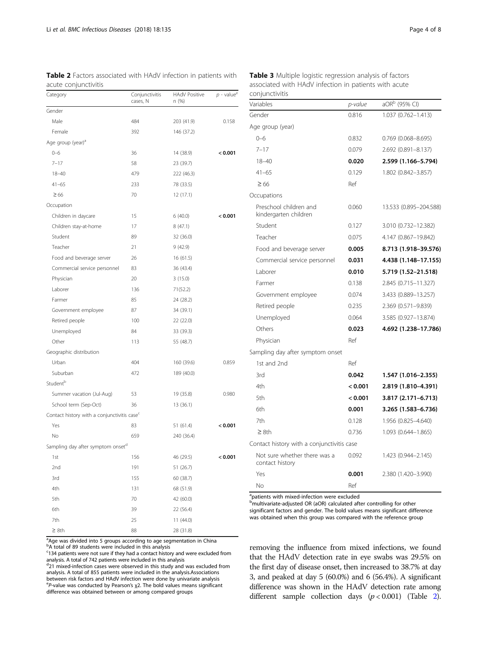| Category                                                | Conjunctivitis<br>cases, N | <b>HAdV Positive</b><br>n (%) | $p$ - value <sup>e</sup> |
|---------------------------------------------------------|----------------------------|-------------------------------|--------------------------|
| Gender                                                  |                            |                               |                          |
| Male                                                    | 484                        | 203 (41.9)                    | 0.158                    |
| Female                                                  | 392                        | 146 (37.2)                    |                          |
| Age group (year) <sup>a</sup>                           |                            |                               |                          |
| $0 - 6$                                                 | 36                         | 14 (38.9)                     | < 0.001                  |
| $7 - 17$                                                | 58                         | 23 (39.7)                     |                          |
| $18 - 40$                                               | 479                        | 222 (46.3)                    |                          |
| $41 - 65$                                               | 233                        | 78 (33.5)                     |                          |
| $\geq 66$                                               | 70                         | 12 (17.1)                     |                          |
| Occupation                                              |                            |                               |                          |
| Children in daycare                                     | 15                         | 6(40.0)                       | < 0.001                  |
| Children stay-at-home                                   | 17                         | 8(47.1)                       |                          |
| Student                                                 | 89                         | 32 (36.0)                     |                          |
| Teacher                                                 | 21                         | 9(42.9)                       |                          |
| Food and beverage server                                | 26                         | 16 (61.5)                     |                          |
| Commercial service personnel                            | 83                         | 36 (43.4)                     |                          |
| Physician                                               | 20                         | 3(15.0)                       |                          |
| Laborer                                                 | 136                        | 71(52.2)                      |                          |
| Farmer                                                  | 85                         | 24 (28.2)                     |                          |
| Government employee                                     | 87                         | 34 (39.1)                     |                          |
| Retired people                                          | 100                        | 22 (22.0)                     |                          |
| Unemployed                                              | 84                         | 33 (39.3)                     |                          |
| Other                                                   | 113                        | 55 (48.7)                     |                          |
| Geographic distribution                                 |                            |                               |                          |
| Urban                                                   | 404                        | 160 (39.6)                    | 0.859                    |
| Suburban                                                | 472                        | 189 (40.0)                    |                          |
| Student <sup>b</sup>                                    |                            |                               |                          |
| Summer vacation (Jul-Aug)                               | 53                         | 19 (35.8)                     | 0.980                    |
| School term (Sep-Oct)                                   | 36                         | 13 (36.1)                     |                          |
| Contact history with a conjunctivitis case <sup>c</sup> |                            |                               |                          |
| Yes                                                     | 83                         | 51 (61.4)                     | < 0.001                  |
| No                                                      | 659                        | 240 (36.4)                    |                          |
| Sampling day after symptom onset <sup>d</sup>           |                            |                               |                          |
| 1st                                                     | 156                        | 46 (29.5)                     | < 0.001                  |
| 2nd                                                     | 191                        | 51 (26.7)                     |                          |
| 3rd                                                     | 155                        | 60 (38.7)                     |                          |
| 4th                                                     | 131                        | 68 (51.9)                     |                          |
| 5th                                                     | 70                         | 42 (60.0)                     |                          |
| 6th                                                     | 39                         | 22 (56.4)                     |                          |
| 7th                                                     | 25                         | 11 (44.0)                     |                          |
| $\geq 8$ th                                             | 88                         | 28 (31.8)                     |                          |

<span id="page-3-0"></span>Table 2 Factors associated with HAdV infection in patients with acute conjunctivitis

<sup>a</sup>Age was divided into 5 groups according to age segmentation in China <sup>b</sup>A total of 89 students were included in this analysis

<sup>c</sup>134 patients were not sure if they had a contact history and were excluded from analysis. A total of 742 patients were included in this analysis

<sup>d</sup>21 mixed-infection cases were observed in this study and was excluded from analysis. A total of 855 patients were included in the analysis.Associations between risk factors and HAdV infection were done by univariate analysis <sup>e</sup>P-value was conducted by Pearson's χ2. The bold values means significant difference was obtained between or among compared groups

Variables p-value aOR<sup>b</sup> (95% CI) Gender 0.816 1.037 (0.762–1.413) Age group (year) 0–6 0.832 0.769 (0.068–8.695) 7–17 0.079 2.692 (0.891–8.137) 18–40 0.020 2.599 (1.166–5.794) 41–65 0.129 1.802 (0.842–3.857)  $\geq 66$  Ref **Occupations** Preschool children and kindergarten children 0.060 13.533 (0.895–204.588) Student 0.127 3.010 (0.732–12.382) Teacher 0.075 4.147 (0.867–19.842) Food and beverage server **0.005** 8.713 (1.918-39.576) Commercial service personnel 0.031 4.438 (1.148–17.155) Laborer **0.010** 5.719 (1.52-21.518) Farmer 0.138 2.845 (0.715–11.327) Government employee 0.074 3.433 (0.889–13.257) Retired people 0.235 2.369 (0.571–9.839) Unemployed 0.064 3.585 (0.927–13.874) Others **0.023** 4.692 (1.238-17.786) Physician Ref Sampling day after symptom onset 1st and 2nd Ref 3rd 0.042 1.547 (1.016–2.355) 4th < 0.001 2.819 (1.810–4.391) 5th < 0.001 3.817 (2.171–6.713) 6th 0.001 3.265 (1.583–6.736) 7th 0.128 1.956 (0.825–4.640) ≥ 8th 0.736 1.093 (0.644–1.865) Contact history with a conjunctivitis case Not sure whether there was a contact history 0.092 1.423 (0.944–2.145) Yes **0.001** 2.380 (1.420–3.990) No Ref

Table 3 Multiple logistic regression analysis of factors associated with HAdV infection in patients with acute conjunctivitis

<sup>a</sup>patients with mixed-infection were excluded

b<sub>multivariate-adjusted OR (aOR) calculated after controlling for other</sub> significant factors and gender. The bold values means significant difference was obtained when this group was compared with the reference group

removing the influence from mixed infections, we found that the HAdV detection rate in eye swabs was 29.5% on the first day of disease onset, then increased to 38.7% at day 3, and peaked at day 5 (60.0%) and 6 (56.4%). A significant difference was shown in the HAdV detection rate among different sample collection days  $(p < 0.001)$  (Table 2).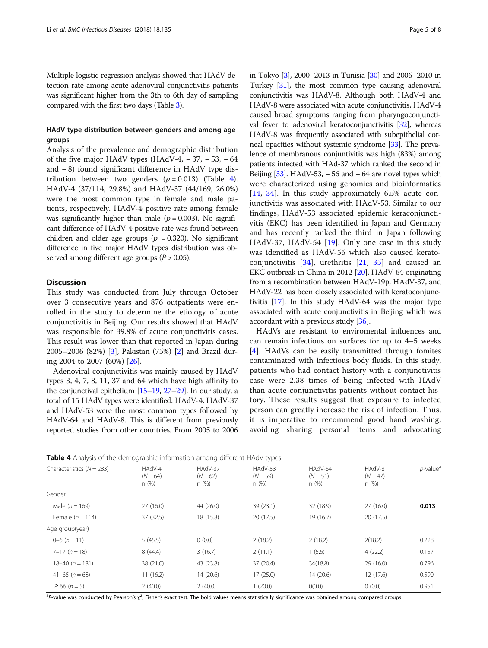Multiple logistic regression analysis showed that HAdV detection rate among acute adenoviral conjunctivitis patients was significant higher from the 3th to 6th day of sampling compared with the first two days (Table [3](#page-3-0)).

## HAdV type distribution between genders and among age groups

Analysis of the prevalence and demographic distribution of the five major HAdV types (HAdV-4,  $-37, -53, -64$ and − 8) found significant difference in HAdV type distribution between two genders  $(p = 0.013)$  (Table 4). HAdV-4 (37/114, 29.8%) and HAdV-37 (44/169, 26.0%) were the most common type in female and male patients, respectively. HAdV-4 positive rate among female was significantly higher than male  $(p = 0.003)$ . No significant difference of HAdV-4 positive rate was found between children and older age groups ( $p = 0.320$ ). No significant difference in five major HAdV types distribution was observed among different age groups ( $P > 0.05$ ).

## Discussion

This study was conducted from July through October over 3 consecutive years and 876 outpatients were enrolled in the study to determine the etiology of acute conjunctivitis in Beijing. Our results showed that HAdV was responsible for 39.8% of acute conjunctivitis cases. This result was lower than that reported in Japan during 2005–2006 (82%) [\[3\]](#page-6-0), Pakistan (75%) [\[2\]](#page-6-0) and Brazil during 2004 to 2007 (60%) [[26\]](#page-6-0).

Adenoviral conjunctivitis was mainly caused by HAdV types 3, 4, 7, 8, 11, 37 and 64 which have high affinity to the conjunctival epithelium [\[15](#page-6-0)–[19,](#page-6-0) [27](#page-6-0)–[29](#page-6-0)]. In our study, a total of 15 HAdV types were identified. HAdV-4, HAdV-37 and HAdV-53 were the most common types followed by HAdV-64 and HAdV-8. This is different from previously reported studies from other countries. From 2005 to 2006 in Tokyo [\[3](#page-6-0)], 2000–2013 in Tunisia [\[30\]](#page-6-0) and 2006–2010 in Turkey [\[31](#page-6-0)], the most common type causing adenoviral conjunctivitis was HAdV-8. Although both HAdV-4 and HAdV-8 were associated with acute conjunctivitis, HAdV-4 caused broad symptoms ranging from pharyngoconjuncti-val fever to adenoviral keratoconjunctivitis [\[32\]](#page-6-0), whereas HAdV-8 was frequently associated with subepithelial corneal opacities without systemic syndrome [\[33](#page-6-0)]. The prevalence of membranous conjuntivitis was high (83%) among patients infected with HAd-37 which ranked the second in Beijing  $[33]$  $[33]$ . HAdV-53, – 56 and – 64 are novel types which were characterized using genomics and bioinformatics [[14,](#page-6-0) [34\]](#page-6-0). In this study approximately 6.5% acute conjunctivitis was associated with HAdV-53. Similar to our findings, HAdV-53 associated epidemic keraconjunctivitis (EKC) has been identified in Japan and Germany and has recently ranked the third in Japan following HAdV-37, HAdV-54 [\[19](#page-6-0)]. Only one case in this study was identified as HAdV-56 which also caused keratoconjunctivitis  $[34]$  $[34]$ , urethritis  $[21, 35]$  $[21, 35]$  $[21, 35]$  $[21, 35]$  and caused an EKC outbreak in China in 2012 [\[20\]](#page-6-0). HAdV-64 originating from a recombination between HAdV-19p, HAdV-37, and HAdV-22 has been closely associated with keratoconjunctivitis [\[17\]](#page-6-0). In this study HAdV-64 was the major type associated with acute conjunctivitis in Beijing which was accordant with a previous study [[36](#page-6-0)].

HAdVs are resistant to enviromental influences and can remain infectious on surfaces for up to 4–5 weeks [[4\]](#page-6-0). HAdVs can be easily transmitted through fomites contaminated with infectious body fluids. In this study, patients who had contact history with a conjunctivitis case were 2.38 times of being infected with HAdV than acute conjunctivitis patients without contact history. These results suggest that exposure to infected person can greatly increase the risk of infection. Thus, it is imperative to recommend good hand washing, avoiding sharing personal items and advocating

**Table 4** Analysis of the demographic information among different HAdV types

| Characteristics $(N = 283)$ | HAdV-4             | HAdV-37             | HAdV-53             | HAdV-64             | HAdV-8              | $p$ -value <sup>a</sup> |
|-----------------------------|--------------------|---------------------|---------------------|---------------------|---------------------|-------------------------|
|                             | $(N = 64)$<br>n(%) | $(N = 62)$<br>n (%) | $(N = 59)$<br>n (%) | $(N = 51)$<br>n (%) | $(N = 47)$<br>n (%) |                         |
|                             |                    |                     |                     |                     |                     |                         |
| Gender                      |                    |                     |                     |                     |                     |                         |
| Male $(n = 169)$            | 27(16.0)           | 44 (26.0)           | 39 (23.1)           | 32 (18.9)           | 27(16.0)            | 0.013                   |
| Female $(n = 114)$          | 37 (32.5)          | 18 (15.8)           | 20 (17.5)           | 19(16.7)            | 20(17.5)            |                         |
| Age group(year)             |                    |                     |                     |                     |                     |                         |
| $0-6$ $(n=11)$              | 5(45.5)            | 0(0.0)              | 2(18.2)             | 2(18.2)             | 2(18.2)             | 0.228                   |
| $7-17 (n = 18)$             | 8(44.4)            | 3(16.7)             | 2(11.1)             | 1(5.6)              | 4(22.2)             | 0.157                   |
| $18-40 (n = 181)$           | 38 (21.0)          | 43 (23.8)           | 37 (20.4)           | 34(18.8)            | 29 (16.0)           | 0.796                   |
| $41-65 (n=68)$              | 11(16.2)           | 14 (20.6)           | 17(25.0)            | 14(20.6)            | 12(17.6)            | 0.590                   |
| $\geq 66$ (n = 5)           | 2(40.0)            | 2(40.0)             | 1(20.0)             | O(0.0)              | 0(0.0)              | 0.951                   |

<sup>a</sup>P-value was conducted by Pearson's χ<sup>2</sup>, Fisher's exact test. The bold values means statistically significance was obtained among compared groups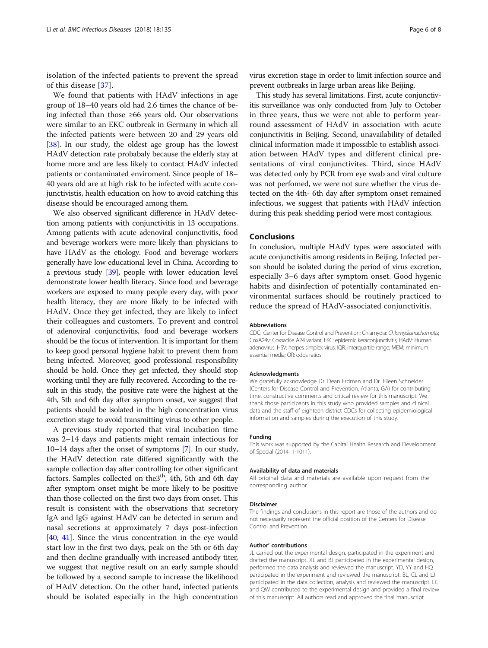isolation of the infected patients to prevent the spread of this disease [[37\]](#page-6-0).

We found that patients with HAdV infections in age group of 18–40 years old had 2.6 times the chance of being infected than those ≥66 years old. Our observations were similar to an EKC outbreak in Germany in which all the infected patients were between 20 and 29 years old [[38](#page-7-0)]. In our study, the oldest age group has the lowest HAdV detection rate probabaly because the elderly stay at home more and are less likely to contact HAdV infected patients or contaminated enviroment. Since people of 18– 40 years old are at high risk to be infected with acute conjunctivistis, health education on how to avoid catching this disease should be encouraged among them.

We also observed significant difference in HAdV detection among patients with conjunctivitis in 13 occupations. Among patients with acute adenoviral conjunctivitis, food and beverage workers were more likely than physicians to have HAdV as the etiology. Food and beverage workers generally have low educational level in China. According to a previous study [\[39\]](#page-7-0), people with lower education level demonstrate lower health literacy. Since food and beverage workers are exposed to many people every day, with poor health literacy, they are more likely to be infected with HAdV. Once they get infected, they are likely to infect their colleagues and customers. To prevent and control of adenoviral conjunctivitis, food and beverage workers should be the focus of intervention. It is important for them to keep good personal hygiene habit to prevent them from being infected. Moreover, good professional responsibility should be hold. Once they get infected, they should stop working until they are fully recovered. According to the result in this study, the positive rate were the highest at the 4th, 5th and 6th day after symptom onset, we suggest that patients should be isolated in the high concentration virus excretion stage to avoid transmitting virus to other people.

A previous study reported that viral incubation time was 2–14 days and patients might remain infectious for 10–14 days after the onset of symptoms [\[7](#page-6-0)]. In our study, the HAdV detection rate differed significantly with the sample collection day after controlling for other significant factors. Samples collected on the<sup>3th</sup>, 4th, 5th and 6th day after symptom onset might be more likely to be positive than those collected on the first two days from onset. This result is consistent with the observations that secretory IgA and IgG against HAdV can be detected in serum and nasal secretions at approximately 7 days post-infection [[40](#page-7-0), [41](#page-7-0)]. Since the virus concentration in the eye would start low in the first two days, peak on the 5th or 6th day and then decline grandually with increased antibody titer, we suggest that negtive result on an early sample should be followed by a second sample to increase the likelihood of HAdV detection. On the other hand, infected patients should be isolated especially in the high concentration virus excretion stage in order to limit infection source and prevent outbreaks in large urban areas like Beijing.

This study has several limitations. First, acute conjunctivitis surveillance was only conducted from July to October in three years, thus we were not able to perform yearround assessment of HAdV in association with acute conjunctivitis in Beijing. Second, unavailability of detailed clinical information made it impossible to establish association between HAdV types and different clinical presentations of viral conjunctivites. Third, since HAdV was detected only by PCR from eye swab and viral culture was not perfomed, we were not sure whether the virus detected on the 4th- 6th day after symptom onset remained infectious, we suggest that patients with HAdV infection during this peak shedding period were most contagious.

## Conclusions

In conclusion, multiple HAdV types were associated with acute conjunctivitis among residents in Beijing. Infected person should be isolated during the period of virus excretion, especially 3–6 days after symptom onset. Good hygenic habits and disinfection of potentially contaminated environmental surfaces should be routinely practiced to reduce the spread of HAdV-associated conjunctivitis.

#### Abbreviations

CDC: Center for Disease Control and Prevention; Chlamydia: Chlamydiatrachomatis; CoxA24v: Coxsackie A24 variant; EKC: epidemic keraconjunctivitis; HAdV: Human adenovirus; HSV: herpes simplex virus; IQR: interquartile range; MEM: minimum essential media; OR: odds ratios

#### Acknowledgments

We gratefully acknowledge Dr. Dean Erdman and Dr. Eileen Schneider (Centers for Disease Control and Prevention, Atlanta, GA) for contributing time, constructive comments and critical review for this manuscript. We thank those participants in this study who provided samples and clinical data and the staff of eighteen district CDCs for collecting epidemiological information and samples during the execution of this study.

#### Funding

This work was supported by the Capital Health Research and Development of Special (2014–1-1011).

#### Availability of data and materials

All original data and materials are available upon request from the corresponding author.

#### Disclaimer

The findings and conclusions in this report are those of the authors and do not necessarily represent the official position of the Centers for Disease Control and Prevention.

#### Author' contributions

JL carried out the experimental design, participated in the experiment and drafted the manuscript. XL and BJ participated in the experimental design, performed the data analysis and reviewed the manuscript. YD, YY and HQ participated in the experiment and reviewed the manuscript. BL, CL and LJ participated in the data collection, analysis and reviewed the manuscript. LC and QW contributed to the experimental design and provided a final review of this manuscript. All authors read and approved the final manuscript.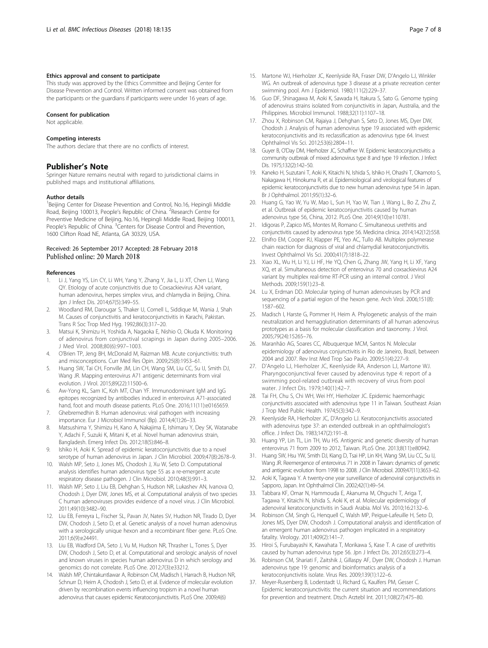### <span id="page-6-0"></span>Ethics approval and consent to participate

This study was approved by the Ethics Committee and Beijing Center for Disease Prevention and Control. Written informed consent was obtained from the participants or the guardians if participants were under 16 years of age.

### Consent for publication

Not applicable.

### Competing interests

The authors declare that there are no conflicts of interest.

## Publisher's Note

Springer Nature remains neutral with regard to jurisdictional claims in published maps and institutional affiliations.

### Author details

<sup>1</sup>Beijing Center for Disease Prevention and Control, No.16, Hepingli Middle Road, Beijing 100013, People's Republic of China. <sup>2</sup>Research Centre for Preventive Medicine of Beijing, No.16, Hepingli Middle Road, Beijing 100013, People's Republic of China. <sup>3</sup> Centers for Disease Control and Prevention, 1600 Clifton Road NE, Atlanta, GA 30329, USA.

#### Received: 26 September 2017 Accepted: 28 February 2018 Published online: 20 March 2018

#### References

- 1. Li J, Yang YS, Lin CY, Li WH, Yang Y, Zhang Y, Jia L, Li XT, Chen LJ, Wang QY. Etiology of acute conjunctivitis due to Coxsackievirus A24 variant, human adenovirus, herpes simplex virus, and chlamydia in Beijing, China. Jpn J Infect Dis. 2014;67(5):349–55.
- 2. Woodland RM, Darougar S, Thaker U, Cornell L, Siddique M, Wania J, Shah M. Causes of conjunctivitis and keratoconjunctivitis in Karachi, Pakistan. Trans R Soc Trop Med Hyg. 1992;86(3):317–20.
- 3. Matsui K, Shimizu H, Yoshida A, Nagaoka E, Nishio O, Okuda K. Monitoring of adenovirus from conjunctival scrapings in Japan during 2005–2006. J Med Virol. 2008;80(6):997–1003.
- 4. O'Brien TP, Jeng BH, McDonald M, Raizman MB. Acute conjunctivitis: truth and misconceptions. Curr Med Res Opin. 2009;25(8):1953–61.
- 5. Huang SW, Tai CH, Fonville JM, Lin CH, Wang SM, Liu CC, Su IJ, Smith DJ, Wang JR. Mapping enterovirus A71 antigenic determinants from viral evolution. J Virol. 2015;89(22):11500–6.
- 6. Aw-Yong KL, Sam IC, Koh MT, Chan YF. Immunodominant IgM and IgG epitopes recognized by antibodies induced in enterovirus A71-associated hand, foot and mouth disease patients. PLoS One. 2016;11(11):e0165659.
- 7. Ghebremedhin B. Human adenovirus: viral pathogen with increasing importance. Eur J Microbiol Immunol (Bp). 2014;4(1):26–33.
- 8. Matsushima Y, Shimizu H, Kano A, Nakajima E, Ishimaru Y, Dey SK, Watanabe Y, Adachi F, Suzuki K, Mitani K, et al. Novel human adenovirus strain, Bangladesh. Emerg Infect Dis. 2012;18(5):846–8.
- 9. Ishiko H, Aoki K. Spread of epidemic keratoconjunctivitis due to a novel serotype of human adenovirus in Japan. J Clin Microbiol. 2009;47(8):2678–9.
- 10. Walsh MP, Seto J, Jones MS, Chodosh J, Xu W, Seto D. Computational analysis identifies human adenovirus type 55 as a re-emergent acute respiratory disease pathogen. J Clin Microbiol. 2010;48(3):991–3.
- 11. Walsh MP, Seto J, Liu EB, Dehghan S, Hudson NR, Lukashev AN, Ivanova O, Chodosh J, Dyer DW, Jones MS, et al. Computational analysis of two species C human adenoviruses provides evidence of a novel virus. J Clin Microbiol. 2011;49(10):3482–90.
- 12. Liu EB, Ferreyra L, Fischer SL, Pavan JV, Nates SV, Hudson NR, Tirado D, Dyer DW, Chodosh J, Seto D, et al. Genetic analysis of a novel human adenovirus with a serologically unique hexon and a recombinant fiber gene. PLoS One. 2011;6(9):e24491.
- 13. Liu EB, Wadford DA, Seto J, Vu M, Hudson NR, Thrasher L, Torres S, Dyer DW, Chodosh J, Seto D, et al. Computational and serologic analysis of novel and known viruses in species human adenovirus D in which serology and genomics do not correlate. PLoS One. 2012;7(3):e33212.
- 14. Walsh MP, Chintakuntlawar A, Robinson CM, Madisch I, Harrach B, Hudson NR, Schnurr D, Heim A, Chodosh J, Seto D, et al. Evidence of molecular evolution driven by recombination events influencing tropism in a novel human adenovirus that causes epidemic Keratoconjunctivitis. PLoS One. 2009;4(6)
- 15. Martone WJ, Hierholzer JC, Keenlyside RA, Fraser DW, D'Angelo LJ, Winkler WG. An outbreak of adenovirus type 3 disease at a private recreation center swimming pool. Am J Epidemiol. 1980;111(2):229–37.
- 16. Guo DF, Shinagawa M, Aoki K, Sawada H, Itakura S, Sato G. Genome typing of adenovirus strains isolated from conjunctivitis in Japan, Australia, and the Philippines. Microbiol Immunol. 1988;32(11):1107–18.
- 17. Zhou X, Robinson CM, Rajaiya J, Dehghan S, Seto D, Jones MS, Dyer DW, Chodosh J. Analysis of human adenovirus type 19 associated with epidemic keratoconjunctivitis and its reclassification as adenovirus type 64. Invest Ophthalmol Vis Sci. 2012;53(6):2804–11.
- 18. Guyer B, O'Day DM, Hierholzer JC, Schaffner W. Epidemic keratoconjunctivitis: a community outbreak of mixed adenovirus type 8 and type 19 infection. J Infect Dis. 1975;132(2):142–50.
- 19. Kaneko H, Suzutani T, Aoki K, Kitaichi N, Ishida S, Ishiko H, Ohashi T, Okamoto S, Nakagawa H, Hinokuma R, et al. Epidemiological and virological features of epidemic keratoconjunctivitis due to new human adenovirus type 54 in Japan. Br J Ophthalmol. 2011;95(1):32–6.
- 20. Huang G, Yao W, Yu W, Mao L, Sun H, Yao W, Tian J, Wang L, Bo Z, Zhu Z, et al. Outbreak of epidemic keratoconjunctivitis caused by human adenovirus type 56, China, 2012. PLoS One. 2014;9(10):e110781.
- 21. Idigoras P, Zapico MS, Montes M, Romano C. Simultaneous urethritis and conjunctivitis caused by adenovirus type 56. Medicina clinica. 2014;142(12):558.
- 22. Elnifro EM, Cooper RJ, Klapper PE, Yeo AC, Tullo AB. Multiplex polymerase chain reaction for diagnosis of viral and chlamydial keratoconjunctivitis. Invest Ophthalmol Vis Sci. 2000;41(7):1818–22.
- 23. Xiao XL, Wu H, Li YJ, Li HF, He YQ, Chen G, Zhang JW, Yang H, Li XF, Yang XQ, et al. Simultaneous detection of enterovirus 70 and coxsackievirus A24 variant by multiplex real-time RT-PCR using an internal control. J Virol Methods. 2009;159(1):23–8.
- 24. Lu X, Erdman DD. Molecular typing of human adenoviruses by PCR and sequencing of a partial region of the hexon gene. Arch Virol. 2006;151(8): 1587–602.
- 25. Madisch I, Harste G, Pommer H, Heim A. Phylogenetic analysis of the main neutralization and hemagglutination determinants of all human adenovirus prototypes as a basis for molecular classification and taxonomy. J Virol. 2005;79(24):15265–76.
- 26. Maranhão AG, Soares CC, Albuquerque MCM, Santos N. Molecular epidemiology of adenovirus conjunctivitis in Rio de Janeiro, Brazil, between 2004 and 2007. Rev Inst Med Trop Sao Paulo. 2009;51(4):227–9.
- 27. D'Angelo LJ, Hierholzer JC, Keenlyside RA, Anderson LJ, Martone WJ. Pharyngoconjunctival fever caused by adenovirus type 4: report of a swimming pool-related outbreak with recovery of virus from pool water. J Infect Dis. 1979;140(1):42–7.
- 28. Tai FH, Chu S, Chi WH, Wei HY, Hierholzer JC. Epidemic haemorrhagic conjunctivitis associated with adenovirus type 11 in Taiwan. Southeast Asian J Trop Med Public Health. 1974;5(3):342–9.
- 29. Keenlyside RA, Hierholzer JC, D'Angelo LJ. Keratoconjunctivitis associated with adenovirus type 37: an extended outbreak in an ophthalmologist's office. J Infect Dis. 1983;147(2):191–8.
- 30. Huang YP, Lin TL, Lin TH, Wu HS. Antigenic and genetic diversity of human enterovirus 71 from 2009 to 2012, Taiwan. PLoS One. 2013;8(11):e80942.
- 31. Huang SW, Hsu YW, Smith DJ, Kiang D, Tsai HP, Lin KH, Wang SM, Liu CC, Su IJ, Wang JR. Reemergence of enterovirus 71 in 2008 in Taiwan: dynamics of genetic and antigenic evolution from 1998 to 2008. J Clin Microbiol. 2009;47(11):3653-62.
- 32. Aoki K, Tagawa Y. A twenty-one year surveillance of adenoviral conjunctivitis in Sapporo, Japan. Int Ophthalmol Clin. 2002;42(1):49–54.
- 33. Tabbara KF, Omar N, Hammouda E, Akanuma M, Ohguchi T, Ariga T, Tagawa Y, Kitaichi N, Ishida S, Aoki K, et al. Molecular epidemiology of adenoviral keratoconjunctivitis in Saudi Arabia. Mol Vis. 2010;16:2132–6.
- 34. Robinson CM, Singh G, Henquell C, Walsh MP, Peigue-Lafeuille H, Seto D, Jones MS, Dyer DW, Chodosh J. Computational analysis and identification of an emergent human adenovirus pathogen implicated in a respiratory fatality. Virology. 2011;409(2):141–7.
- 35. Hiroi S, Furubayashi K, Kawahata T, Morikawa S, Kase T. A case of urethritis caused by human adenovirus type 56. Jpn J Infect Dis. 2012;65(3):273–4.
- 36. Robinson CM, Shariati F, Zaitshik J, Gillaspy AF, Dyer DW, Chodosh J. Human adenovirus type 19: genomic and bioinformatics analysis of a keratoconjunctivitis isolate. Virus Res. 2009;139(1):122–6.
- 37. Meyer-Rusenberg B, Loderstadt U, Richard G, Kaulfers PM, Gesser C. Epidemic keratoconjunctivitis: the current situation and recommendations for prevention and treatment. Dtsch Arztebl Int. 2011;108(27):475–80.